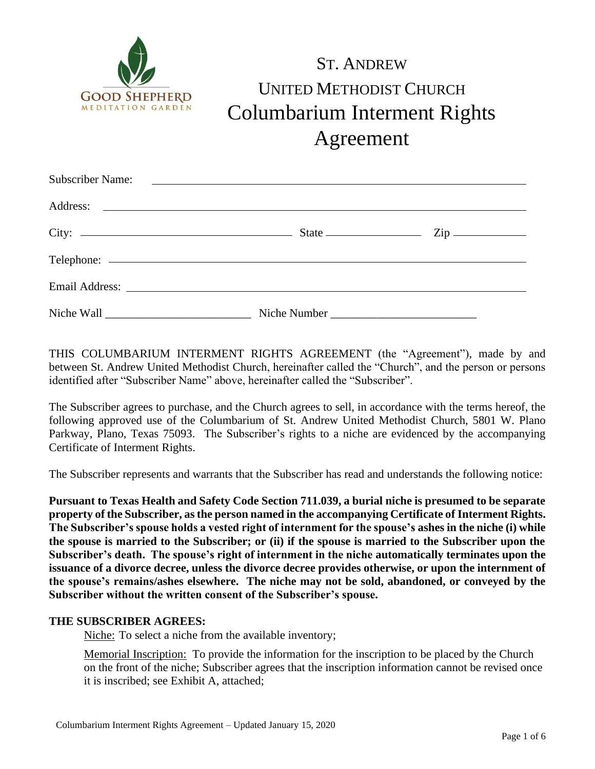

# ST. ANDREW UNITED METHODIST CHURCH Columbarium Interment Rights Agreement

| City: $\frac{2}{\pi}$ State $\frac{2}{\pi}$ State $\frac{2}{\pi}$ Zip |  |
|-----------------------------------------------------------------------|--|
|                                                                       |  |
|                                                                       |  |
|                                                                       |  |

THIS COLUMBARIUM INTERMENT RIGHTS AGREEMENT (the "Agreement"), made by and between St. Andrew United Methodist Church, hereinafter called the "Church", and the person or persons identified after "Subscriber Name" above, hereinafter called the "Subscriber".

The Subscriber agrees to purchase, and the Church agrees to sell, in accordance with the terms hereof, the following approved use of the Columbarium of St. Andrew United Methodist Church, 5801 W. Plano Parkway, Plano, Texas 75093. The Subscriber's rights to a niche are evidenced by the accompanying Certificate of Interment Rights.

The Subscriber represents and warrants that the Subscriber has read and understands the following notice:

**Pursuant to Texas Health and Safety Code Section 711.039, a burial niche is presumed to be separate property of the Subscriber, as the person named in the accompanying Certificate of Interment Rights. The Subscriber's spouse holds a vested right of internment for the spouse's ashes in the niche (i) while the spouse is married to the Subscriber; or (ii) if the spouse is married to the Subscriber upon the Subscriber's death. The spouse's right of internment in the niche automatically terminates upon the issuance of a divorce decree, unless the divorce decree provides otherwise, or upon the internment of the spouse's remains/ashes elsewhere. The niche may not be sold, abandoned, or conveyed by the Subscriber without the written consent of the Subscriber's spouse.**

#### **THE SUBSCRIBER AGREES:**

Niche: To select a niche from the available inventory;

Memorial Inscription: To provide the information for the inscription to be placed by the Church on the front of the niche; Subscriber agrees that the inscription information cannot be revised once it is inscribed; see Exhibit A, attached;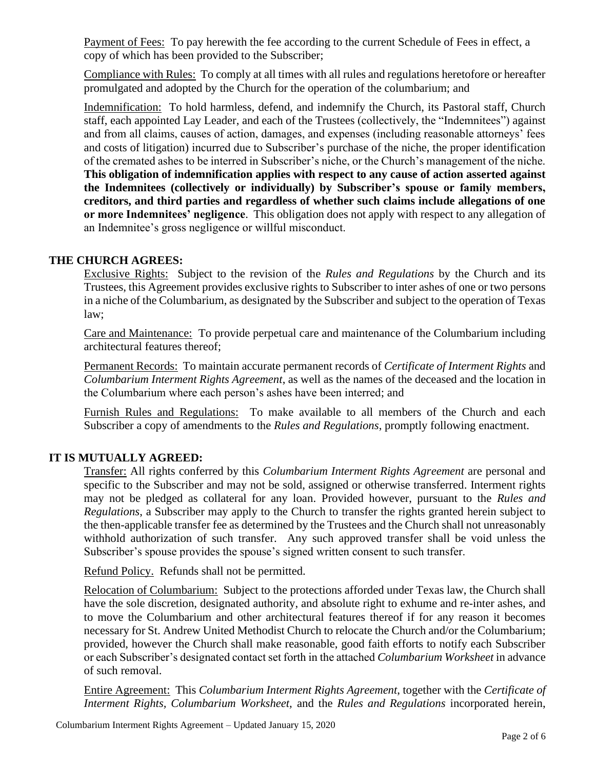Payment of Fees: To pay herewith the fee according to the current Schedule of Fees in effect, a copy of which has been provided to the Subscriber;

Compliance with Rules: To comply at all times with all rules and regulations heretofore or hereafter promulgated and adopted by the Church for the operation of the columbarium; and

Indemnification: To hold harmless, defend, and indemnify the Church, its Pastoral staff, Church staff, each appointed Lay Leader, and each of the Trustees (collectively, the "Indemnitees") against and from all claims, causes of action, damages, and expenses (including reasonable attorneys' fees and costs of litigation) incurred due to Subscriber's purchase of the niche, the proper identification of the cremated ashes to be interred in Subscriber's niche, or the Church's management of the niche. **This obligation of indemnification applies with respect to any cause of action asserted against the Indemnitees (collectively or individually) by Subscriber's spouse or family members, creditors, and third parties and regardless of whether such claims include allegations of one or more Indemnitees' negligence**. This obligation does not apply with respect to any allegation of an Indemnitee's gross negligence or willful misconduct.

### **THE CHURCH AGREES:**

Exclusive Rights: Subject to the revision of the *Rules and Regulations* by the Church and its Trustees, this Agreement provides exclusive rights to Subscriber to inter ashes of one or two persons in a niche of the Columbarium, as designated by the Subscriber and subject to the operation of Texas law;

Care and Maintenance: To provide perpetual care and maintenance of the Columbarium including architectural features thereof;

Permanent Records: To maintain accurate permanent records of *Certificate of Interment Rights* and *Columbarium Interment Rights Agreement*, as well as the names of the deceased and the location in the Columbarium where each person's ashes have been interred; and

Furnish Rules and Regulations: To make available to all members of the Church and each Subscriber a copy of amendments to the *Rules and Regulations*, promptly following enactment.

## **IT IS MUTUALLY AGREED:**

Transfer: All rights conferred by this *Columbarium Interment Rights Agreement* are personal and specific to the Subscriber and may not be sold, assigned or otherwise transferred. Interment rights may not be pledged as collateral for any loan. Provided however, pursuant to the *Rules and Regulations*, a Subscriber may apply to the Church to transfer the rights granted herein subject to the then-applicable transfer fee as determined by the Trustees and the Church shall not unreasonably withhold authorization of such transfer. Any such approved transfer shall be void unless the Subscriber's spouse provides the spouse's signed written consent to such transfer.

Refund Policy. Refunds shall not be permitted.

Relocation of Columbarium: Subject to the protections afforded under Texas law, the Church shall have the sole discretion, designated authority, and absolute right to exhume and re-inter ashes, and to move the Columbarium and other architectural features thereof if for any reason it becomes necessary for St. Andrew United Methodist Church to relocate the Church and/or the Columbarium; provided, however the Church shall make reasonable, good faith efforts to notify each Subscriber or each Subscriber's designated contact set forth in the attached *Columbarium Worksheet* in advance of such removal.

Entire Agreement: This *Columbarium Interment Rights Agreement*, together with the *Certificate of Interment Rights, Columbarium Worksheet,* and the *Rules and Regulations* incorporated herein,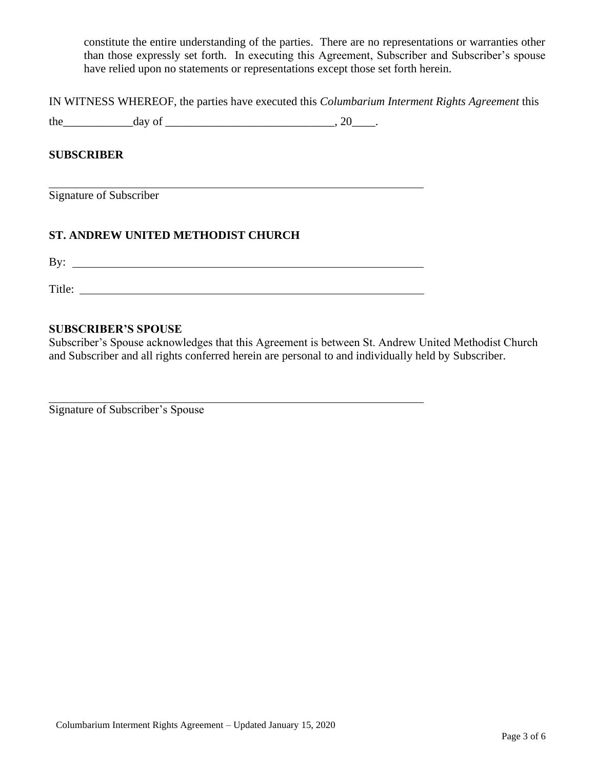constitute the entire understanding of the parties. There are no representations or warranties other than those expressly set forth. In executing this Agreement, Subscriber and Subscriber's spouse have relied upon no statements or representations except those set forth herein.

IN WITNESS WHEREOF, the parties have executed this *Columbarium Interment Rights Agreement* this

the  $\frac{day \text{ of } (x,y) - (x,y) \text{ of } (x,y) - (y,y) \text{ of } (x,y) - (y,y) \text{ of } (x,y) \text{ of } (x,y) \text{ of } (x,y)$ 

#### **SUBSCRIBER**

Signature of Subscriber

### **ST. ANDREW UNITED METHODIST CHURCH**

 $\mathbf{B} \mathbf{y}$ :

Title:

#### **SUBSCRIBER'S SPOUSE**

Subscriber's Spouse acknowledges that this Agreement is between St. Andrew United Methodist Church and Subscriber and all rights conferred herein are personal to and individually held by Subscriber.

Signature of Subscriber's Spouse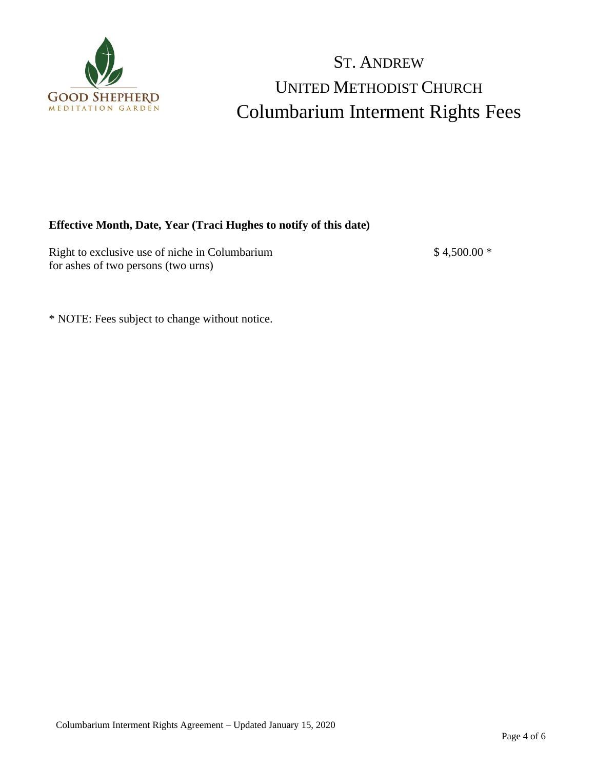

## ST. ANDREW UNITED METHODIST CHURCH Columbarium Interment Rights Fees

### **Effective Month, Date, Year (Traci Hughes to notify of this date)**

Right to exclusive use of niche in Columbarium  $$4,500.00$  \* for ashes of two persons (two urns)

\* NOTE: Fees subject to change without notice.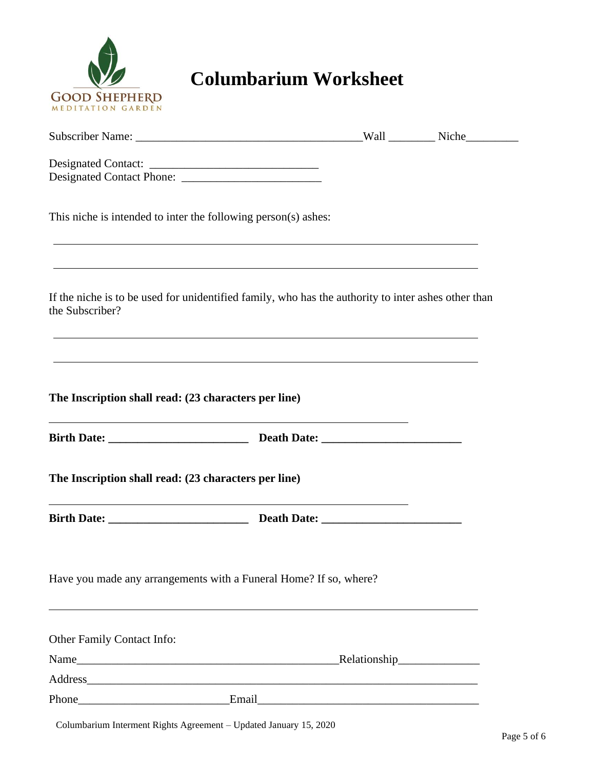

## **Columbarium Worksheet**

| This niche is intended to inter the following person(s) ashes:                                                         |  |
|------------------------------------------------------------------------------------------------------------------------|--|
|                                                                                                                        |  |
| If the niche is to be used for unidentified family, who has the authority to inter ashes other than<br>the Subscriber? |  |
|                                                                                                                        |  |
| The Inscription shall read: (23 characters per line)                                                                   |  |
|                                                                                                                        |  |
| The Inscription shall read: (23 characters per line)                                                                   |  |
|                                                                                                                        |  |
| Have you made any arrangements with a Funeral Home? If so, where?                                                      |  |
| Other Family Contact Info:                                                                                             |  |
|                                                                                                                        |  |
|                                                                                                                        |  |
|                                                                                                                        |  |